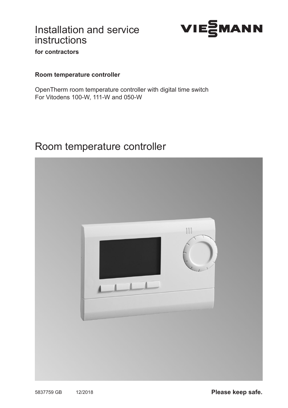# Installation and service instructions



**for contractors**

### **Room temperature controller**

OpenTherm room temperature controller with digital time switch For Vitodens 100-W, 111-W and 050-W

# Room temperature controller

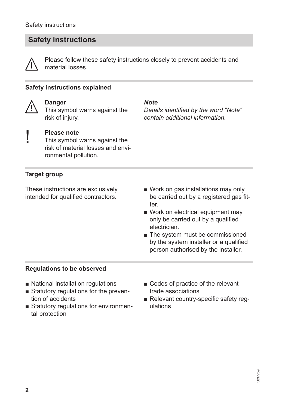# **Safety instructions**



Please follow these safety instructions closely to prevent accidents and material losses.

*Note*

#### **Safety instructions explained**



#### **Danger**

This symbol warns against the risk of injury.

# !<br>!

### **Please note**

This symbol warns against the risk of material losses and environmental pollution.

### **Target group**

These instructions are exclusively intended for qualified contractors.

■ Work on gas installations may only be carried out by a registered gas fitter.

*Details identified by the word "Note" contain additional information.*

- Work on electrical equipment may only be carried out by a qualified electrician.
- The system must be commissioned by the system installer or a qualified person authorised by the installer.

### **Regulations to be observed**

- National installation regulations
- Statutory regulations for the prevention of accidents
- Statutory regulations for environmental protection
- Codes of practice of the relevant trade associations
- Relevant country-specific safety regulations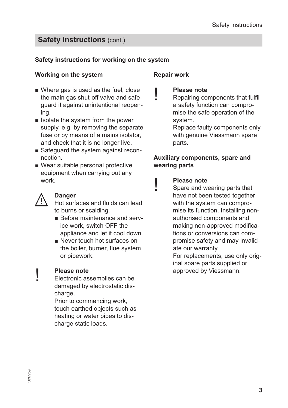# **Safety instructions** (cont.)

### **Safety instructions for working on the system**

#### **Working on the system**

- Where gas is used as the fuel, close the main gas shut-off valve and safeguard it against unintentional reopening.
- Isolate the system from the power supply, e.g. by removing the separate fuse or by means of a mains isolator, and check that it is no longer live.
- Safeguard the system against reconnection.
- Wear suitable personal protective equipment when carrying out any work.



#### **Danger**

Hot surfaces and fluids can lead to burns or scalding.

- Before maintenance and service work, switch OFF the appliance and let it cool down.
- Never touch hot surfaces on the boiler, burner, flue system or pipework.

## ! **Please note**

Electronic assemblies can be damaged by electrostatic discharge.

Prior to commencing work, touch earthed objects such as heating or water pipes to discharge static loads.

### **Repair work**

!

!

### **Please note**

Repairing components that fulfil a safety function can compromise the safe operation of the system.

Replace faulty components only with genuine Viessmann spare parts.

### **Auxiliary components, spare and wearing parts**

### **Please note**

Spare and wearing parts that have not been tested together with the system can compromise its function. Installing nonauthorised components and making non-approved modifications or conversions can compromise safety and may invalidate our warranty.

For replacements, use only original spare parts supplied or approved by Viessmann.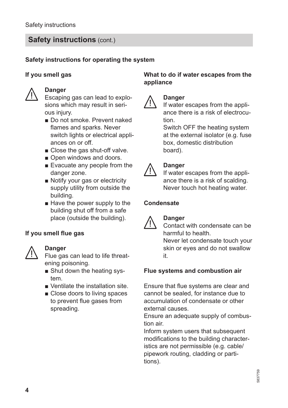# **Safety instructions** (cont.)

### **Safety instructions for operating the system**

### **If you smell gas**



### **Danger**

Escaping gas can lead to explosions which may result in serious injury.

- Do not smoke. Prevent naked flames and sparks. Never switch lights or electrical appliances on or off.
- Close the gas shut-off valve.
- Open windows and doors.
- Evacuate any people from the danger zone.
- Notify your gas or electricity supply utility from outside the building.
- Have the power supply to the building shut off from a safe place (outside the building).

### **If you smell flue gas**



### **Danger**

Flue gas can lead to life threatening poisoning.

- Shut down the heating system.
- Ventilate the installation site.
- Close doors to living spaces to prevent flue gases from spreading.

#### **What to do if water escapes from the appliance**



#### **Danger**

If water escapes from the appliance there is a risk of electrocution.

Switch OFF the heating system at the external isolator (e.g. fuse box, domestic distribution board).



#### **Danger**

If water escapes from the appliance there is a risk of scalding. Never touch hot heating water.

### **Condensate**



### **Danger**

Contact with condensate can be harmful to health.

Never let condensate touch your skin or eyes and do not swallow it.

### **Flue systems and combustion air**

Ensure that flue systems are clear and cannot be sealed, for instance due to accumulation of condensate or other external causes.

Ensure an adequate supply of combustion air.

Inform system users that subsequent modifications to the building characteristics are not permissible (e.g. cable/ pipework routing, cladding or partitions).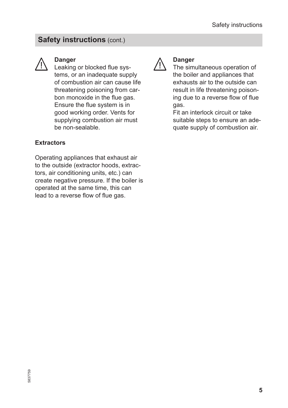# **Safety instructions** (cont.)



### **Danger**

Leaking or blocked flue systems, or an inadequate supply of combustion air can cause life threatening poisoning from carbon monoxide in the flue gas. Ensure the flue system is in good working order. Vents for supplying combustion air must be non-sealable.

### **Extractors**

Operating appliances that exhaust air to the outside (extractor hoods, extractors, air conditioning units, etc.) can create negative pressure. If the boiler is operated at the same time, this can lead to a reverse flow of flue gas.



### **Danger**

The simultaneous operation of the boiler and appliances that exhausts air to the outside can result in life threatening poisoning due to a reverse flow of flue gas.

Fit an interlock circuit or take suitable steps to ensure an adequate supply of combustion air.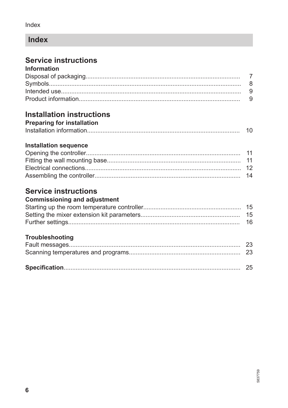### Index

# Index

# **Service instructions**

| <b>Information</b> |  |
|--------------------|--|
|                    |  |
|                    |  |
|                    |  |
|                    |  |

#### **Installation instructions**  $\mathbf{A} = \mathbf{H} - \mathbf{A}$  $\overline{\phantom{a}}$  $\overline{\phantom{a}}$  $\overline{\phantom{a}}$

| Preparing for installation |  |
|----------------------------|--|
|                            |  |

### Installation sequence

# **Service instructions**

| Commissioning and adjustment |  |
|------------------------------|--|
|                              |  |
|                              |  |
|                              |  |
|                              |  |

### Troubleshooting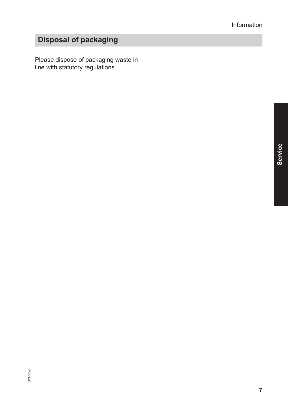# <span id="page-6-0"></span>**Disposal of packaging**

Please dispose of packaging waste in line with statutory regulations.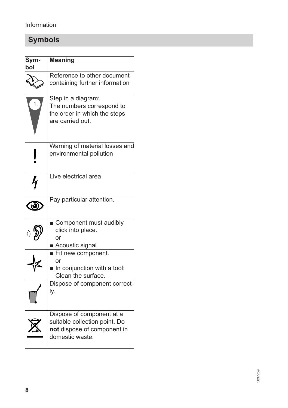### <span id="page-7-0"></span>Information

# **Symbols**

| Sym-<br>bol       | <b>Meaning</b>                                                                                               |
|-------------------|--------------------------------------------------------------------------------------------------------------|
|                   | Reference to other document<br>containing further information                                                |
| 1.                | Step in a diagram:<br>The numbers correspond to<br>the order in which the steps<br>are carried out.          |
|                   | Warning of material losses and<br>environmental pollution                                                    |
| $\bm{\mathit{h}}$ | Live electrical area                                                                                         |
|                   | Pay particular attention.                                                                                    |
|                   | Component must audibly<br>click into place.<br>or<br>■ Acoustic signal                                       |
|                   | Fit new component.<br>or<br>In conjunction with a tool:<br>Clean the surface.                                |
|                   | Dispose of component correct-<br>ly.                                                                         |
|                   | Dispose of component at a<br>suitable collection point. Do<br>not dispose of component in<br>domestic waste. |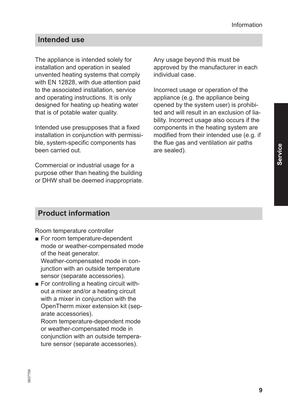Information

<span id="page-8-0"></span>The appliance is intended solely for installation and operation in sealed unvented heating systems that comply with EN 12828, with due attention paid to the associated installation, service and operating instructions. It is only designed for heating up heating water that is of potable water quality.

Intended use presupposes that a fixed installation in conjunction with permissible, system-specific components has been carried out.

Commercial or industrial usage for a purpose other than heating the building or DHW shall be deemed inappropriate. Any usage beyond this must be approved by the manufacturer in each individual case.

Incorrect usage or operation of the appliance (e.g. the appliance being opened by the system user) is prohibited and will result in an exclusion of liability. Incorrect usage also occurs if the components in the heating system are modified from their intended use (e.g. if the flue gas and ventilation air paths are sealed).

# **Product information**

Room temperature controller

- For room temperature-dependent mode or weather-compensated mode of the heat generator. Weather-compensated mode in conjunction with an outside temperature sensor (separate accessories).
- For controlling a heating circuit without a mixer and/or a heating circuit with a mixer in conjunction with the OpenTherm mixer extension kit (separate accessories).

Room temperature-dependent mode or weather-compensated mode in conjunction with an outside temperature sensor (separate accessories).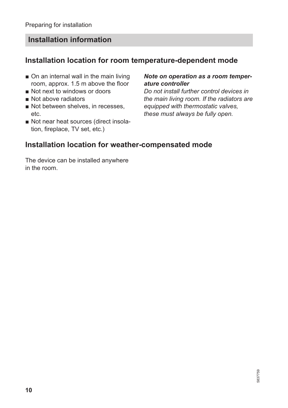# <span id="page-9-0"></span>**Installation information**

# **Installation location for room temperature-dependent mode**

- On an internal wall in the main living room, approx. 1.5 m above the floor
- Not next to windows or doors
- Not above radiators
- Not between shelves, in recesses, etc.
- Not near heat sources (direct insolation, fireplace, TV set, etc.)

### *Note on operation as a room temperature controller*

*Do not install further control devices in the main living room. If the radiators are equipped with thermostatic valves, these must always be fully open.*

# **Installation location for weather-compensated mode**

The device can be installed anywhere in the room.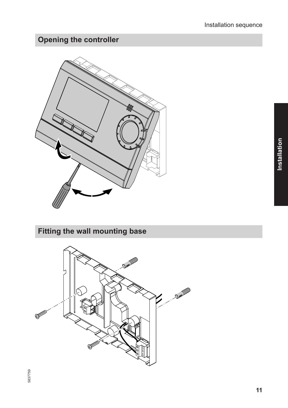# <span id="page-10-0"></span>**Opening the controller**



**Fitting the wall mounting base**

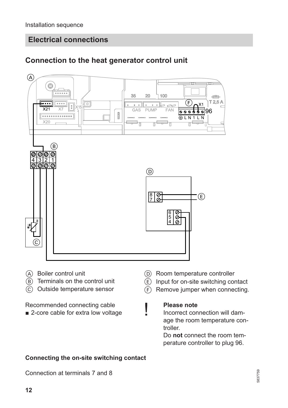# <span id="page-11-0"></span>**Electrical connections**

# **Connection to the heat generator control unit**



- A Boiler control unit
- $\overline{B}$  Terminals on the control unit
- C Outside temperature sensor
- 
- Recommended connecting cable<br>■ 2-core cable for extra low voltage
- D Room temperature controller
- $(E)$  Input for on-site switching contact
- F Remove jumper when connecting.
	-

### **Please note**

Incorrect connection will damage the room temperature controller.

Do **not** connect the room temperature controller to plug 96.

### **Connecting the on-site switching contact**

Connection at terminals 7 and 8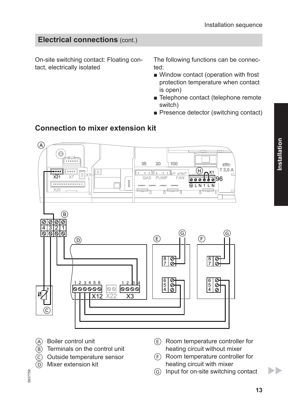# **Electrical connections** (cont.)

On-site switching contact: Floating contact, electrically isolated

The following functions can be connected:

- Window contact (operation with frost protection temperature when contact is open)
- Telephone contact (telephone remote switch)
- Presence detector (switching contact)



# **Connection to mixer extension kit**

- A Boiler control unit
- $(\widehat{B})$  Terminals on the control unit
- C Outside temperature sensor
- D Mixer extension kit
- $(E)$  Room temperature controller for heating circuit without mixer
- F Room temperature controller for heating circuit with mixer
- G Input for on-site switching contact

Ы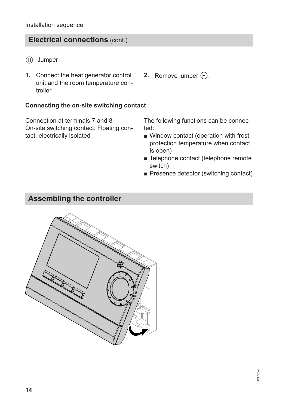### <span id="page-13-0"></span>**Electrical connections** (cont.)

- (H) Jumper
- **1.** Connect the heat generator control unit and the room temperature controller.

### **Connecting the on-site switching contact**

Connection at terminals 7 and 8 On-site switching contact: Floating contact, electrically isolated

The following functions can be connected:

**2.** Remove jumper  $(H)$ .

- Window contact (operation with frost protection temperature when contact is open)
- Telephone contact (telephone remote switch)
- Presence detector (switching contact)

# **Assembling the controller**

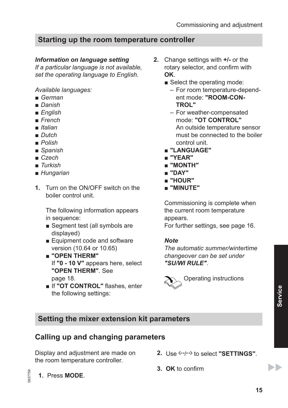# <span id="page-14-0"></span>**Starting up the room temperature controller**

### *Information on language setting*

*If a particular language is not available, set the operating language to English.*

*Available languages:*

- *■ German*
- *■ Danish*
- *■ English*
- *■ French*
- *■ Italian*
- *■ Dutch*
- *■ Polish*
- *■ Spanish*
- *■ Czech*
- *■ Turkish*
- *■ Hungarian*
- **1.** Turn on the ON/OFF switch on the boiler control unit.

The following information appears in sequence:

- Segment test (all symbols are displayed)
- Equipment code and software version (10.64 or 10.65)
- **"OPEN THERM"** If **"0 - 10 V"** appears here, select **"OPEN THERM"**. See page [18.](#page-17-0)
- If **"OT CONTROL"** flashes, enter the following settings:
- **2.** Change settings with **+/-** or the rotary selector, and confirm with **OK**.
	- Select the operating mode:
		- For room temperature-dependent mode: **"ROOM-CON-TROL"**
		- For weather-compensated mode: **"OT CONTROL"** An outside temperature sensor must be connected to the boiler control unit.
	- **"LANGUAGE"**
	- **"YEAR"**
	- **"MONTH"**
	- **"DAY"**
	- **"HOUR"**
	- **"MINUTE"**

Commissioning is complete when the current room temperature appears. For further settings, see page [16.](#page-15-0)

### *Note*

*The automatic summer/wintertime changeover can be set under "SU/WI RULE".*



# **Setting the mixer extension kit parameters**

# **Calling up and changing parameters**

Display and adjustment are made on the room temperature controller.

- 2. Use  $\leftarrow$  /  $\rightarrow$  to select **"SETTINGS"**.
- **03. OK** to confirm

**01.** Press **MODE**.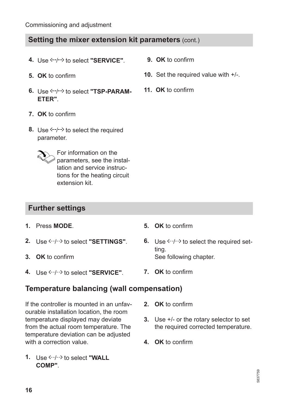### <span id="page-15-0"></span>Commissioning and adjustment

# **Setting the mixer extension kit parameters (cont.)**

- **4.** Use  $\leftarrow$  / to select **"SERVICE"**.
- **05. OK** to confirm
- **6.** Use  $\leftarrow$  / to select **"TSP-PARAM-ETER"**.
- **07. OK** to confirm
- **8.** Use  $\leftarrow$   $\rightarrow$  to select the required parameter.



# **Further settings**

- **1.** Press **MODE**.
- 2. Use  $\leftarrow$ -/--> to select "SETTINGS".
- **3. OK** to confirm
- 4. Use  $\leftarrow$  / to select **"SERVICE"**.

# **Temperature balancing (wall compensation)**

If the controller is mounted in an unfavourable installation location, the room temperature displayed may deviate from the actual room temperature. The temperature deviation can be adjusted with a correction value.

1. Use  $\leftarrow$   $\rightarrow$  to select **"WALL COMP"**.

- **5. OK** to confirm
- **6.** Use  $\left\langle \frac{-1}{2} \right\rangle$  to select the required setting. See following chapter.

**3.** Use +/- or the rotary selector to set the required corrected temperature.

**7. OK** to confirm

**2. OK** to confirm

**4. OK** to confirm

**09. OK** to confirm

- **10.** Set the required value with +/-.
- **11. OK** to confirm

5837759 5837759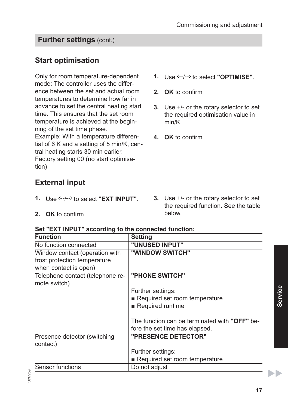# **Start optimisation**

Only for room temperature-dependent mode: The controller uses the difference between the set and actual room temperatures to determine how far in advance to set the central heating start time. This ensures that the set room temperature is achieved at the beginning of the set time phase. Example: With a temperature differential of 6 K and a setting of 5 min/K, central heating starts 30 min earlier. Factory setting 00 (no start optimisation)

- 1. Use  $\leftarrow$  /  $\rightarrow$  to select **"OPTIMISE"**.
- **2. OK** to confirm
- **3.** Use +/- or the rotary selector to set the required optimisation value in min/K.
- **4. OK** to confirm

# **External input**

- 1. Use  $\left\langle \frac{-1}{2} \right\rangle$  to select **"EXT INPUT"**.
- **2. OK** to confirm

**3.** Use +/- or the rotary selector to set the required function. See the table below.

### **Set "EXT INPUT" according to the connected function:**

| <b>Setting</b>                                |
|-----------------------------------------------|
| <b>"UNUSED INPUT"</b>                         |
| "WINDOW SWITCH"                               |
|                                               |
|                                               |
| "PHONE SWITCH"                                |
| Further settings:                             |
| Required set room temperature                 |
| Required runtime                              |
| The function can be terminated with "OFF" be- |
| fore the set time has elapsed.                |
| "PRESENCE DETECTOR"                           |
| Further settings:                             |
| Required set room temperature                 |
| Do not adjust                                 |
|                                               |

**Service**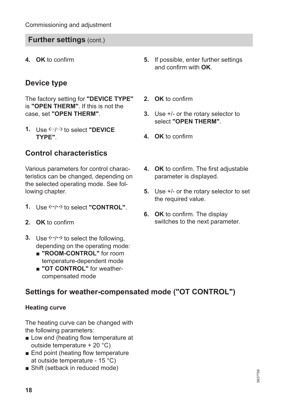<span id="page-17-0"></span>

# **Device type**

The factory setting for **"DEVICE TYPE"** is **"OPEN THERM"**. If this is not the case, set **"OPEN THERM"**.

1. Use  $\left\langle \frac{-1}{2} \right\rangle$  to select **"DEVICE TYPE"**.

# **Control characteristics**

Various parameters for control characteristics can be changed, depending on the selected operating mode. See following chapter.

- **1.** Use  $\left\langle \frac{-1}{2} \right\rangle$  to select **"CONTROL"**.
- **2. OK** to confirm
- **3.** Use  $\leftarrow$ -/ $\rightarrow$  to select the following, depending on the operating mode:
	- **"ROOM-CONTROL"** for room temperature-dependent mode
	- **"OT CONTROL"** for weathercompensated mode

### **4. OK** to confirm **5.** If possible, enter further settings and confirm with **OK**.

- **2. OK** to confirm
- **3.** Use +/- or the rotary selector to select **"OPEN THERM"**.
- **4. OK** to confirm
- **4. OK** to confirm. The first adjustable parameter is displayed.
- **5.** Use +/- or the rotary selector to set the required value.
- **6. OK** to confirm. The display switches to the next parameter.

# **Settings for weather-compensated mode ("OT CONTROL")**

### **Heating curve**

The heating curve can be changed with the following parameters:

- Low end (heating flow temperature at outside temperature + 20 °C)
- End point (heating flow temperature at outside temperature - 15 °C)
- Shift (setback in reduced mode)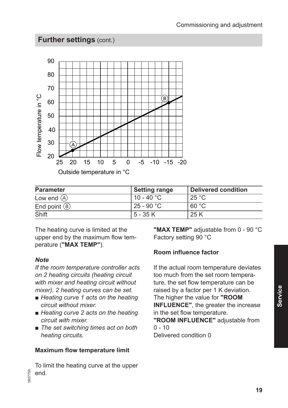

| <b>Parameter</b> | <b>Setting range</b> | <b>Delivered condition</b> |
|------------------|----------------------|----------------------------|
| Low end $(A)$    | l 10 - 40 °C         | 25 °C                      |
| End point $(B)$  | $25 - 90 °C$         | 60 °C                      |
| Shift            | 5 - 35 K             | 25 K                       |

The heating curve is limited at the upper end by the maximum flow temperature (**"MAX TEMP"**).

### *Note*

5837759

*If the room temperature controller acts on 2 heating circuits (heating circuit with mixer and heating circuit without mixer), 2 heating curves can be set.*

- *■ Heating curve 1 acts on the heating circuit without mixer.*
- *Heating curve 2 acts on the heating circuit with mixer.*
- *■ The set switching times act on both heating circuits.*

### **Maximum flow temperature limit**

To limit the heating curve at the upper end.

**"MAX TEMP"** adjustable from 0 - 90 °C Factory setting 90 °C

### **Room influence factor**

If the actual room temperature deviates too much from the set room temperature, the set flow temperature can be raised by a factor per 1 K deviation. The higher the value for **"ROOM INFLUENCE"**, the greater the increase in the set flow temperature. **"ROOM INFLUENCE"** adjustable from  $0 - 10$ Delivered condition 0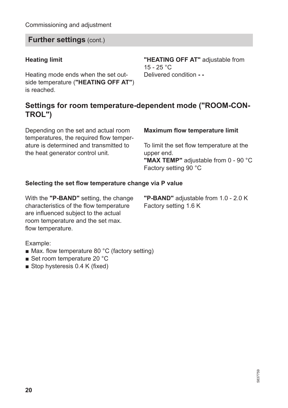Commissioning and adjustment

**Further settings (cont.)** 

### **Heating limit**

Heating mode ends when the set outside temperature (**"HEATING OFF AT"**) is reached.

**"HEATING OFF AT"** adjustable from  $15 - 25 °C$ Delivered condition **- -**

### **Settings for room temperature-dependent mode ("ROOM-CON-TROL")**

Depending on the set and actual room temperatures, the required flow temperature is determined and transmitted to the heat generator control unit.

#### **Maximum flow temperature limit**

To limit the set flow temperature at the upper end. **"MAX TEMP"** adjustable from 0 - 90 °C Factory setting 90 °C

### **Selecting the set flow temperature change via P value**

With the **"P-BAND"** setting, the change characteristics of the flow temperature are influenced subject to the actual room temperature and the set max. flow temperature.

**"P-BAND"** adjustable from 1.0 - 2.0 K Factory setting 1.6 K

Example:

- $\blacksquare$  Max. flow temperature 80 °C (factory setting)
- Set room temperature 20 °C
- Stop hysteresis 0.4 K (fixed)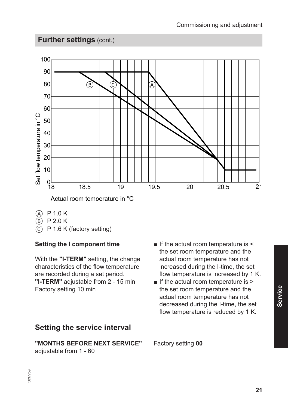

- $(A)$  P 1.0 K
- $\overline{B}$  P 2.0 K
- $(C)$  P 1.6 K (factory setting)

### **Setting the I component time**

With the **"I-TERM"** setting, the change characteristics of the flow temperature are recorded during a set period. **"I-TERM"** adjustable from 2 - 15 min Factory setting 10 min

# **Setting the service interval**

#### **"MONTHS BEFORE NEXT SERVICE"** adjustable from 1 - 60

 $\blacksquare$  If the actual room temperature is < the set room temperature and the actual room temperature has not increased during the I-time, the set flow temperature is increased by 1 K.

■ If the actual room temperature is > the set room temperature and the actual room temperature has not decreased during the I-time, the set flow temperature is reduced by 1 K.

Factory setting **00**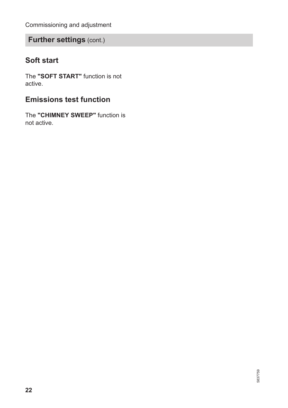Commissioning and adjustment

**Further settings (cont.)** 

# **Soft start**

The **"SOFT START"** function is not active.

# **Emissions test function**

The **"CHIMNEY SWEEP"** function is not active.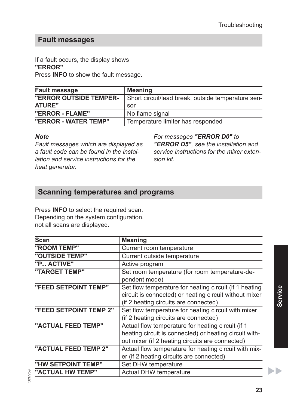# <span id="page-22-0"></span>**Fault messages**

If a fault occurs, the display shows **"ERROR"**.

Press **INFO** to show the fault message.

| <b>Fault message</b>   | <b>Meaning</b>                                     |
|------------------------|----------------------------------------------------|
| "ERROR OUTSIDE TEMPER- | Short circuit/lead break, outside temperature sen- |
| <b>ATURE"</b>          | sor                                                |
| "ERROR - FLAME"        | No flame signal                                    |
| "ERROR - WATER TEMP"   | Temperature limiter has responded                  |

#### *Note*

*Fault messages which are displayed as a fault code can be found in the installation and service instructions for the heat generator.*

*For messages "ERROR D0" to "ERROR D5", see the installation and service instructions for the mixer extension kit.*

### **Scanning temperatures and programs**

Press **INFO** to select the required scan. Depending on the system configuration, not all scans are displayed.

| Scan                   | <b>Meaning</b>                                                                                                                                                 |
|------------------------|----------------------------------------------------------------------------------------------------------------------------------------------------------------|
| "ROOM TEMP"            | Current room temperature                                                                                                                                       |
| "OUTSIDE TEMP"         | Current outside temperature                                                                                                                                    |
| "P ACTIVE"             | Active program                                                                                                                                                 |
| "TARGET TEMP"          | Set room temperature (for room temperature-de-<br>pendent mode)                                                                                                |
| "FEED SETPOINT TEMP"   | Set flow temperature for heating circuit (if 1 heating<br>circuit is connected) or heating circuit without mixer<br>(if 2 heating circuits are connected)      |
| "FEED SETPOINT TEMP 2" | Set flow temperature for heating circuit with mixer<br>(if 2 heating circuits are connected)                                                                   |
| "ACTUAL FEED TEMP"     | Actual flow temperature for heating circuit (if 1<br>heating circuit is connected) or heating circuit with-<br>out mixer (if 2 heating circuits are connected) |
| "ACTUAL FEED TEMP 2"   | Actual flow temperature for heating circuit with mix-<br>er (if 2 heating circuits are connected)                                                              |
| "HW SETPOINT TEMP"     | Set DHW temperature                                                                                                                                            |
| "ACTUAL HW TEMP"       | Actual DHW temperature                                                                                                                                         |

5837759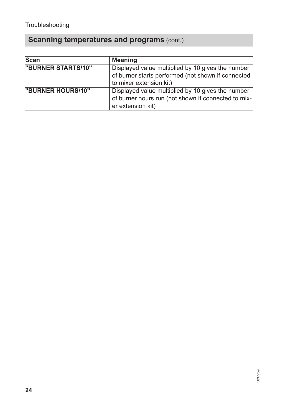# **Scanning temperatures and programs (cont.)**

| Scan               | <b>Meaning</b>                                                                                                                |
|--------------------|-------------------------------------------------------------------------------------------------------------------------------|
| "BURNER STARTS/10" | Displayed value multiplied by 10 gives the number<br>of burner starts performed (not shown if connected                       |
|                    | to mixer extension kit)                                                                                                       |
| "BURNER HOURS/10"  | Displayed value multiplied by 10 gives the number<br>of burner hours run (not shown if connected to mix-<br>er extension kit) |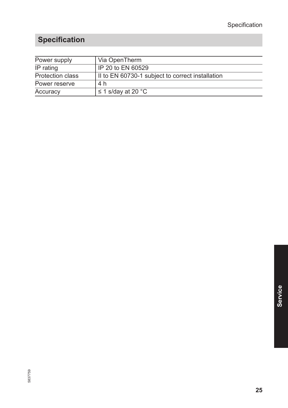### Specification

# **Specification**

| Power supply     | Via OpenTherm                                      |
|------------------|----------------------------------------------------|
| IP rating        | IP 20 to EN 60529                                  |
| Protection class | I II to EN 60730-1 subject to correct installation |
| Power reserve    | 4 h                                                |
| Accuracy         | ≤ 1 s/day at 20 $^{\circ}$ C                       |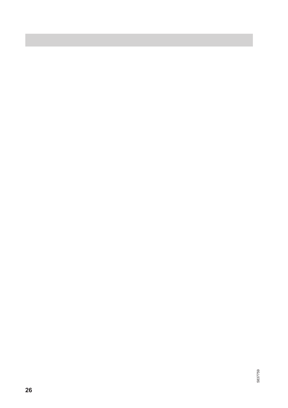###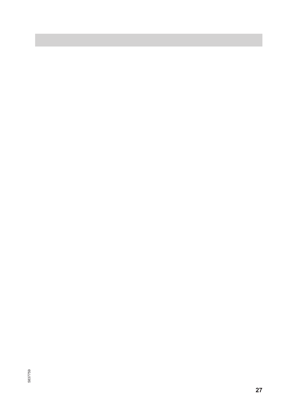#